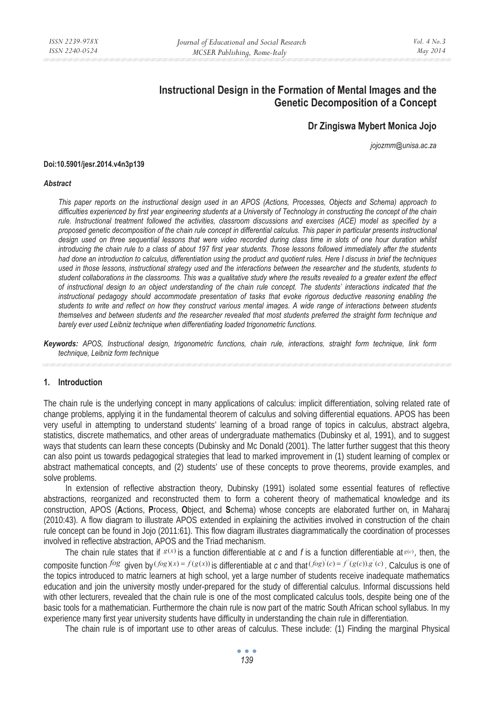# **Instructional Design in the Formation of Mental Images and the Genetic Decomposition of a Concept**

## **Dr Zingiswa Mybert Monica Jojo**

*jojozmm@unisa.ac.za* 

#### **Doi:10.5901/jesr.2014.v4n3p139**

#### *Abstract*

*This paper reports on the instructional design used in an APOS (Actions, Processes, Objects and Schema) approach to difficulties experienced by first year engineering students at a University of Technology in constructing the concept of the chain rule. Instructional treatment followed the activities, classroom discussions and exercises (ACE) model as specified by a proposed genetic decomposition of the chain rule concept in differential calculus. This paper in particular presents instructional*  design used on three sequential lessons that were video recorded during class time in slots of one hour duration whilst *introducing the chain rule to a class of about 197 first year students. Those lessons followed immediately after the students had done an introduction to calculus, differentiation using the product and quotient rules. Here I discuss in brief the techniques used in those lessons, instructional strategy used and the interactions between the researcher and the students, students to student collaborations in the classrooms. This was a qualitative study where the results revealed to a greater extent the effect of instructional design to an object understanding of the chain rule concept. The students' interactions indicated that the instructional pedagogy should accommodate presentation of tasks that evoke rigorous deductive reasoning enabling the students to write and reflect on how they construct various mental images. A wide range of interactions between students themselves and between students and the researcher revealed that most students preferred the straight form technique and barely ever used Leibniz technique when differentiating loaded trigonometric functions.* 

*Keywords: APOS, Instructional design, trigonometric functions, chain rule, interactions, straight form technique, link form technique, Leibniz form technique* 

#### **1. Introduction**

The chain rule is the underlying concept in many applications of calculus: implicit differentiation, solving related rate of change problems, applying it in the fundamental theorem of calculus and solving differential equations. APOS has been very useful in attempting to understand students' learning of a broad range of topics in calculus, abstract algebra, statistics, discrete mathematics, and other areas of undergraduate mathematics (Dubinsky et al, 1991), and to suggest ways that students can learn these concepts (Dubinsky and Mc Donald (2001). The latter further suggest that this theory can also point us towards pedagogical strategies that lead to marked improvement in (1) student learning of complex or abstract mathematical concepts, and (2) students' use of these concepts to prove theorems, provide examples, and solve problems.

In extension of reflective abstraction theory, Dubinsky (1991) isolated some essential features of reflective abstractions, reorganized and reconstructed them to form a coherent theory of mathematical knowledge and its construction, APOS (**A**ctions, **P**rocess, **O**bject, and **S**chema) whose concepts are elaborated further on, in Maharaj (2010:43). A flow diagram to illustrate APOS extended in explaining the activities involved in construction of the chain rule concept can be found in Jojo (2011:61). This flow diagram illustrates diagrammatically the coordination of processes involved in reflective abstraction, APOS and the Triad mechanism.

The chain rule states that if  $g(x)$  is a function differentiable at *c* and *f* is a function differentiable at  $g(x)$ , then, the composite function  $f \circ g$  given by  $(f \circ g)(x) = f(g(x))$  is differentiable at c and that  $(f \circ g)'(c) = f'(g(c)) \cdot g'(c)$ . Calculus is one of the topics introduced to matric learners at high school, yet a large number of students receive inadequate mathematics education and join the university mostly under-prepared for the study of differential calculus. Informal discussions held with other lecturers, revealed that the chain rule is one of the most complicated calculus tools, despite being one of the basic tools for a mathematician. Furthermore the chain rule is now part of the matric South African school syllabus. In my experience many first year university students have difficulty in understanding the chain rule in differentiation.

The chain rule is of important use to other areas of calculus. These include: (1) Finding the marginal Physical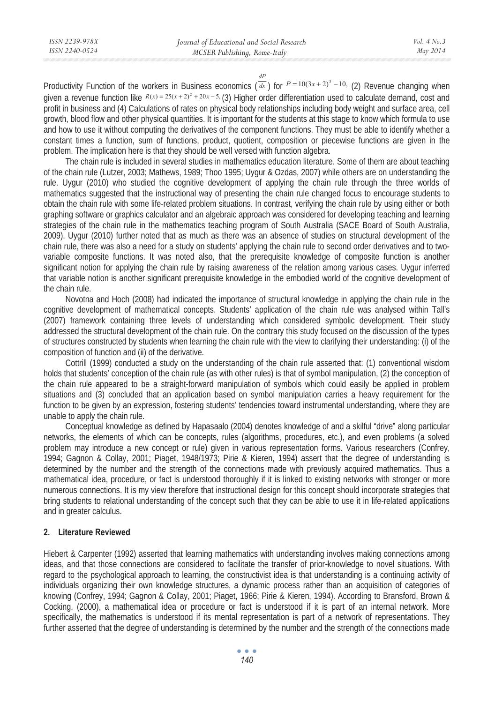*dP*

Productivity Function of the workers in Business economics  $(\overline{dx})$  for  $P = 10(3x + 2)^3 - 10$ , (2) Revenue changing when given a revenue function like  $R(x) = 25(x+2)^2 + 20x - 5$ , (3) Higher order differentiation used to calculate demand, cost and profit in business and (4) Calculations of rates on physical body relationships including body weight and surface area, cell growth, blood flow and other physical quantities. It is important for the students at this stage to know which formula to use and how to use it without computing the derivatives of the component functions. They must be able to identify whether a constant times a function, sum of functions, product, quotient, composition or piecewise functions are given in the problem. The implication here is that they should be well versed with function algebra.

The chain rule is included in several studies in mathematics education literature. Some of them are about teaching of the chain rule (Lutzer, 2003; Mathews, 1989; Thoo 1995; Uygur & Ozdas, 2007) while others are on understanding the rule. Uygur (2010) who studied the cognitive development of applying the chain rule through the three worlds of mathematics suggested that the instructional way of presenting the chain rule changed focus to encourage students to obtain the chain rule with some life-related problem situations. In contrast, verifying the chain rule by using either or both graphing software or graphics calculator and an algebraic approach was considered for developing teaching and learning strategies of the chain rule in the mathematics teaching program of South Australia (SACE Board of South Australia, 2009). Uygur (2010) further noted that as much as there was an absence of studies on structural development of the chain rule, there was also a need for a study on students' applying the chain rule to second order derivatives and to twovariable composite functions. It was noted also, that the prerequisite knowledge of composite function is another significant notion for applying the chain rule by raising awareness of the relation among various cases. Uygur inferred that variable notion is another significant prerequisite knowledge in the embodied world of the cognitive development of the chain rule.

Novotna and Hoch (2008) had indicated the importance of structural knowledge in applying the chain rule in the cognitive development of mathematical concepts. Students' application of the chain rule was analysed within Tall's (2007) framework containing three levels of understanding which considered symbolic development. Their study addressed the structural development of the chain rule. On the contrary this study focused on the discussion of the types of structures constructed by students when learning the chain rule with the view to clarifying their understanding: (i) of the composition of function and (ii) of the derivative.

Cottrill (1999) conducted a study on the understanding of the chain rule asserted that: (1) conventional wisdom holds that students' conception of the chain rule (as with other rules) is that of symbol manipulation, (2) the conception of the chain rule appeared to be a straight-forward manipulation of symbols which could easily be applied in problem situations and (3) concluded that an application based on symbol manipulation carries a heavy requirement for the function to be given by an expression, fostering students' tendencies toward instrumental understanding, where they are unable to apply the chain rule.

Conceptual knowledge as defined by Hapasaalo (2004) denotes knowledge of and a skilful "drive" along particular networks, the elements of which can be concepts, rules (algorithms, procedures, etc.), and even problems (a solved problem may introduce a new concept or rule) given in various representation forms. Various researchers (Confrey, 1994; Gagnon & Collay, 2001; Piaget, 1948/1973; Pirie & Kieren, 1994) assert that the degree of understanding is determined by the number and the strength of the connections made with previously acquired mathematics. Thus a mathematical idea, procedure, or fact is understood thoroughly if it is linked to existing networks with stronger or more numerous connections. It is my view therefore that instructional design for this concept should incorporate strategies that bring students to relational understanding of the concept such that they can be able to use it in life-related applications and in greater calculus.

## **2. Literature Reviewed**

Hiebert & Carpenter (1992) asserted that learning mathematics with understanding involves making connections among ideas, and that those connections are considered to facilitate the transfer of prior*-*knowledge to novel situations. With regard to the psychological approach to learning, the constructivist idea is that understanding is a continuing activity of individuals organizing their own knowledge structures, a dynamic process rather than an acquisition of categories of knowing (Confrey, 1994; Gagnon & Collay, 2001; Piaget, 1966; Pirie & Kieren, 1994). According to Bransford, Brown & Cocking, (2000), a mathematical idea or procedure or fact is understood if it is part of an internal network. More specifically, the mathematics is understood if its mental representation is part of a network of representations. They further asserted that the degree of understanding is determined by the number and the strength of the connections made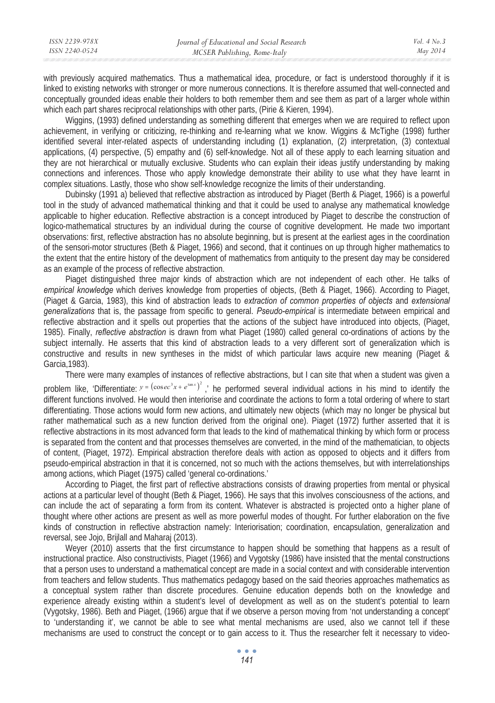| ISSN 2239-978X | Journal of Educational and Social Research | Vol. $4$ No. $3$ |
|----------------|--------------------------------------------|------------------|
| ISSN 2240-0524 | MCSER Publishing, Rome-Italy               | May 2014         |
|                |                                            |                  |

with previously acquired mathematics. Thus a mathematical idea, procedure, or fact is understood thoroughly if it is linked to existing networks with stronger or more numerous connections. It is therefore assumed that well-connected and conceptually grounded ideas enable their holders to both remember them and see them as part of a larger whole within which each part shares reciprocal relationships with other parts, (Pirie & Kieren, 1994).

Wiggins, (1993) defined understanding as something different that emerges when we are required to reflect upon achievement, in verifying or criticizing, re-thinking and re-learning what we know. Wiggins & McTighe (1998) further identified several inter-related aspects of understanding including (1) explanation, (2) interpretation, (3) contextual applications, (4) perspective, (5) empathy and (6) self-knowledge. Not all of these apply to each learning situation and they are not hierarchical or mutually exclusive. Students who can explain their ideas justify understanding by making connections and inferences. Those who apply knowledge demonstrate their ability to use what they have learnt in complex situations. Lastly, those who show self-knowledge recognize the limits of their understanding.

Dubinsky (1991 a) believed that reflective abstraction as introduced by Piaget (Berth & Piaget, 1966) is a powerful tool in the study of advanced mathematical thinking and that it could be used to analyse any mathematical knowledge applicable to higher education. Reflective abstraction is a concept introduced by Piaget to describe the construction of logico-mathematical structures by an individual during the course of cognitive development. He made two important observations: first, reflective abstraction has no absolute beginning, but is present at the earliest ages in the coordination of the sensori-motor structures (Beth & Piaget, 1966) and second, that it continues on up through higher mathematics to the extent that the entire history of the development of mathematics from antiquity to the present day may be considered as an example of the process of reflective abstraction.

Piaget distinguished three major kinds of abstraction which are not independent of each other. He talks of *empirical knowledge* which derives knowledge from properties of objects, (Beth & Piaget, 1966). According to Piaget, (Piaget & Garcia, 1983), this kind of abstraction leads to *extraction of common properties of objects* and *extensional generalizations* that is, the passage from specific to general. *Pseudo-empirical* is intermediate between empirical and reflective abstraction and it spells out properties that the actions of the subject have introduced into objects, (Piaget, 1985). Finally, *reflective abstraction* is drawn from what Piaget (1980) called general co-ordinations of actions by the subject internally. He asserts that this kind of abstraction leads to a very different sort of generalization which is constructive and results in new syntheses in the midst of which particular laws acquire new meaning (Piaget & Garcia,1983).

There were many examples of instances of reflective abstractions, but I can site that when a student was given a problem like, 'Differentiate:  $y = (\cos ec^3x + e^{\tan x})^2$  ,' he performed several individual actions in his mind to identify the different functions involved. He would then interiorise and coordinate the actions to form a total ordering of where to start differentiating. Those actions would form new actions, and ultimately new objects (which may no longer be physical but rather mathematical such as a new function derived from the original one). Piaget (1972) further asserted that it is reflective abstractions in its most advanced form that leads to the kind of mathematical thinking by which form or process is separated from the content and that processes themselves are converted, in the mind of the mathematician, to objects of content, (Piaget, 1972). Empirical abstraction therefore deals with action as opposed to objects and it differs from pseudo-empirical abstraction in that it is concerned, not so much with the actions themselves, but with interrelationships among actions, which Piaget (1975) called 'general co-ordinations.'

According to Piaget, the first part of reflective abstractions consists of drawing properties from mental or physical actions at a particular level of thought (Beth & Piaget, 1966). He says that this involves consciousness of the actions, and can include the act of separating a form from its content. Whatever is abstracted is projected onto a higher plane of thought where other actions are present as well as more powerful modes of thought. For further elaboration on the five kinds of construction in reflective abstraction namely: Interiorisation; coordination, encapsulation, generalization and reversal, see Jojo, Brijlall and Maharaj (2013).

Weyer (2010) asserts that the first circumstance to happen should be something that happens as a result of instructional practice. Also constructivists, Piaget (1966) and Vygotsky (1986) have insisted that the mental constructions that a person uses to understand a mathematical concept are made in a social context and with considerable intervention from teachers and fellow students. Thus mathematics pedagogy based on the said theories approaches mathematics as a conceptual system rather than discrete procedures. Genuine education depends both on the knowledge and experience already existing within a student's level of development as well as on the student's potential to learn (Vygotsky, 1986). Beth and Piaget, (1966) argue that if we observe a person moving from 'not understanding a concept' to 'understanding it', we cannot be able to see what mental mechanisms are used, also we cannot tell if these mechanisms are used to construct the concept or to gain access to it. Thus the researcher felt it necessary to video-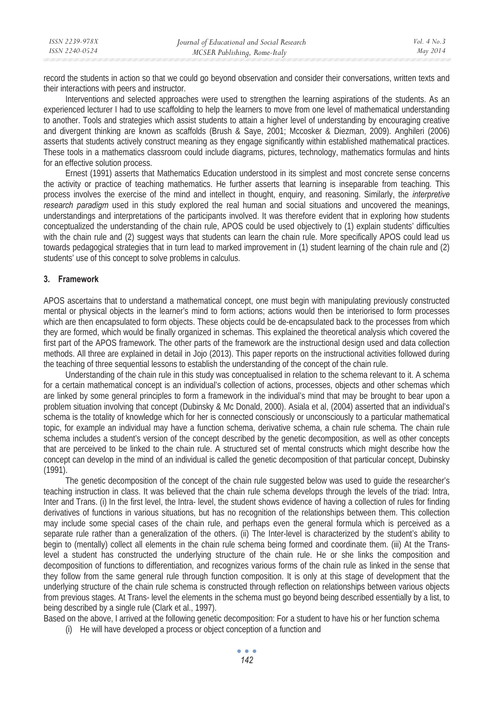| ISSN 2239-978X | Journal of Educational and Social Research | <i>Vol.</i> 4 $No.3$ |
|----------------|--------------------------------------------|----------------------|
| ISSN 2240-0524 | MCSER Publishing, Rome-Italy               | May 2014             |

record the students in action so that we could go beyond observation and consider their conversations, written texts and their interactions with peers and instructor.

Interventions and selected approaches were used to strengthen the learning aspirations of the students. As an experienced lecturer I had to use scaffolding to help the learners to move from one level of mathematical understanding to another. Tools and strategies which assist students to attain a higher level of understanding by encouraging creative and divergent thinking are known as scaffolds (Brush & Saye, 2001; Mccosker & Diezman, 2009). Anghileri (2006) asserts that students actively construct meaning as they engage significantly within established mathematical practices. These tools in a mathematics classroom could include diagrams, pictures, technology, mathematics formulas and hints for an effective solution process.

Ernest (1991) asserts that Mathematics Education understood in its simplest and most concrete sense concerns the activity or practice of teaching mathematics. He further asserts that learning is inseparable from teaching. This process involves the exercise of the mind and intellect in thought, enquiry, and reasoning. Similarly, the *interpretive research paradigm* used in this study explored the real human and social situations and uncovered the meanings, understandings and interpretations of the participants involved. It was therefore evident that in exploring how students conceptualized the understanding of the chain rule, APOS could be used objectively to (1) explain students' difficulties with the chain rule and (2) suggest ways that students can learn the chain rule. More specifically APOS could lead us towards pedagogical strategies that in turn lead to marked improvement in (1) student learning of the chain rule and (2) students' use of this concept to solve problems in calculus.

#### **3. Framework**

APOS ascertains that to understand a mathematical concept, one must begin with manipulating previously constructed mental or physical objects in the learner's mind to form actions; actions would then be interiorised to form processes which are then encapsulated to form objects. These objects could be de-encapsulated back to the processes from which they are formed, which would be finally organized in schemas. This explained the theoretical analysis which covered the first part of the APOS framework. The other parts of the framework are the instructional design used and data collection methods. All three are explained in detail in Jojo (2013). This paper reports on the instructional activities followed during the teaching of three sequential lessons to establish the understanding of the concept of the chain rule.

Understanding of the chain rule in this study was conceptualised in relation to the schema relevant to it. A schema for a certain mathematical concept is an individual's collection of actions, processes, objects and other schemas which are linked by some general principles to form a framework in the individual's mind that may be brought to bear upon a problem situation involving that concept (Dubinsky & Mc Donald, 2000). Asiala et al, (2004) asserted that an individual's schema is the totality of knowledge which for her is connected consciously or unconsciously to a particular mathematical topic, for example an individual may have a function schema, derivative schema, a chain rule schema. The chain rule schema includes a student's version of the concept described by the genetic decomposition, as well as other concepts that are perceived to be linked to the chain rule. A structured set of mental constructs which might describe how the concept can develop in the mind of an individual is called the genetic decomposition of that particular concept, Dubinsky (1991).

The genetic decomposition of the concept of the chain rule suggested below was used to guide the researcher's teaching instruction in class. It was believed that the chain rule schema develops through the levels of the triad: Intra, Inter and Trans. (i) In the first level, the Intra- level, the student shows evidence of having a collection of rules for finding derivatives of functions in various situations, but has no recognition of the relationships between them. This collection may include some special cases of the chain rule, and perhaps even the general formula which is perceived as a separate rule rather than a generalization of the others. (ii) The Inter-level is characterized by the student's ability to begin to (mentally) collect all elements in the chain rule schema being formed and coordinate them. (iii) At the Translevel a student has constructed the underlying structure of the chain rule. He or she links the composition and decomposition of functions to differentiation, and recognizes various forms of the chain rule as linked in the sense that they follow from the same general rule through function composition. It is only at this stage of development that the underlying structure of the chain rule schema is constructed through reflection on relationships between various objects from previous stages. At Trans- level the elements in the schema must go beyond being described essentially by a list, to being described by a single rule (Clark et al., 1997).

Based on the above, I arrived at the following genetic decomposition: For a student to have his or her function schema

(i) He will have developed a process or object conception of a function and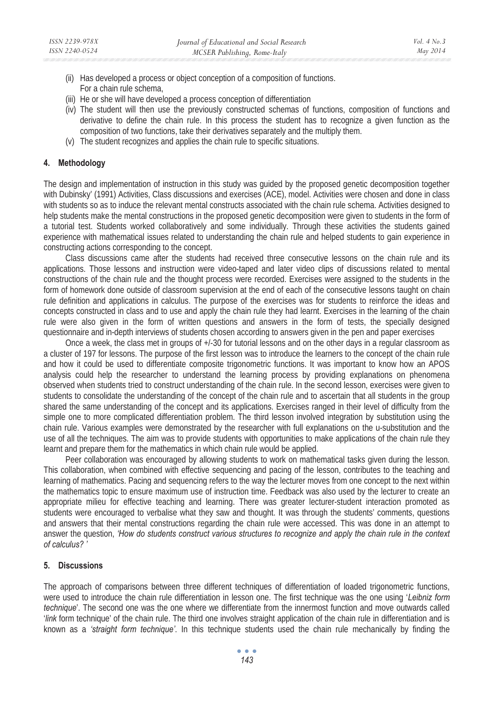- (ii) Has developed a process or object conception of a composition of functions. For a chain rule schema,
- (iii) He or she will have developed a process conception of differentiation
- (iv) The student will then use the previously constructed schemas of functions, composition of functions and derivative to define the chain rule. In this process the student has to recognize a given function as the composition of two functions, take their derivatives separately and the multiply them.
- (v) The student recognizes and applies the chain rule to specific situations.

#### **4. Methodology**

The design and implementation of instruction in this study was guided by the proposed genetic decomposition together with Dubinsky' (1991) Activities, Class discussions and exercises (ACE), model. Activities were chosen and done in class with students so as to induce the relevant mental constructs associated with the chain rule schema. Activities designed to help students make the mental constructions in the proposed genetic decomposition were given to students in the form of a tutorial test. Students worked collaboratively and some individually. Through these activities the students gained experience with mathematical issues related to understanding the chain rule and helped students to gain experience in constructing actions corresponding to the concept.

Class discussions came after the students had received three consecutive lessons on the chain rule and its applications. Those lessons and instruction were video-taped and later video clips of discussions related to mental constructions of the chain rule and the thought process were recorded. Exercises were assigned to the students in the form of homework done outside of classroom supervision at the end of each of the consecutive lessons taught on chain rule definition and applications in calculus. The purpose of the exercises was for students to reinforce the ideas and concepts constructed in class and to use and apply the chain rule they had learnt. Exercises in the learning of the chain rule were also given in the form of written questions and answers in the form of tests, the specially designed questionnaire and in-depth interviews of students chosen according to answers given in the pen and paper exercises

Once a week, the class met in groups of +/-30 for tutorial lessons and on the other days in a regular classroom as a cluster of 197 for lessons. The purpose of the first lesson was to introduce the learners to the concept of the chain rule and how it could be used to differentiate composite trigonometric functions. It was important to know how an APOS analysis could help the researcher to understand the learning process by providing explanations on phenomena observed when students tried to construct understanding of the chain rule. In the second lesson, exercises were given to students to consolidate the understanding of the concept of the chain rule and to ascertain that all students in the group shared the same understanding of the concept and its applications. Exercises ranged in their level of difficulty from the simple one to more complicated differentiation problem. The third lesson involved integration by substitution using the chain rule. Various examples were demonstrated by the researcher with full explanations on the u-substitution and the use of all the techniques. The aim was to provide students with opportunities to make applications of the chain rule they learnt and prepare them for the mathematics in which chain rule would be applied.

Peer collaboration was encouraged by allowing students to work on mathematical tasks given during the lesson. This collaboration, when combined with effective sequencing and pacing of the lesson, contributes to the teaching and learning of mathematics. Pacing and sequencing refers to the way the lecturer moves from one concept to the next within the mathematics topic to ensure maximum use of instruction time. Feedback was also used by the lecturer to create an appropriate milieu for effective teaching and learning. There was greater lecturer-student interaction promoted as students were encouraged to verbalise what they saw and thought. It was through the students' comments, questions and answers that their mental constructions regarding the chain rule were accessed. This was done in an attempt to answer the question, *'How do students construct various structures to recognize and apply the chain rule in the context of calculus? '* 

### **5. Discussions**

The approach of comparisons between three different techniques of differentiation of loaded trigonometric functions, were used to introduce the chain rule differentiation in lesson one. The first technique was the one using '*Leibniz form technique*'. The second one was the one where we differentiate from the innermost function and move outwards called '*link* form technique' of the chain rule. The third one involves straight application of the chain rule in differentiation and is known as a *'straight form technique'*. In this technique students used the chain rule mechanically by finding the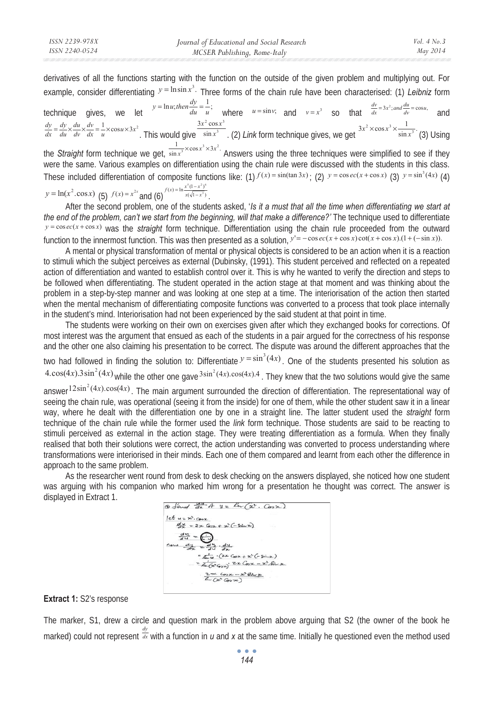derivatives of all the functions starting with the function on the outside of the given problem and multiplying out. For example, consider differentiating  $y = \ln \sin x^3$ . Three forms of the chain rule have been characterised: (1) *Leibniz* form

technique gives, we let  $y = \ln u$ ; then  $\frac{dy}{du} = \frac{1}{u}$ ; where  $u = \sin v$ ; and  $v = x^3$  so that  $\frac{dv}{dx} = 3x^2$ ; and  $\frac{du}{dv} = \cos u$ , and  $\frac{dv}{dx} = \frac{1}{u} \times \cos u \times 3x^2$ . This would give  $\frac{3x^2 \cos x^3}{\sin x^3}$ . (2) Link form technique gives, we get  $\frac{3x^2 \times \cos x^3 \times \frac{1}{\sin x^3}}{\sin x^3}$  (3) Using the *Straight* form technique we get,  $\frac{1}{\sin x^3} \times \cos x^3 \times 3x^2$ . Answers using the three techniques were simplified to see if they were the same. Various examples on differentiation using the chain rule were discussed with the students in this class. These included differentiation of composite functions like:  $(1) f(x) = sin(tan 3x)$ ;  $(2) y = cos ec(x + cos x)$   $(3) y = sin<sup>3</sup>(4x)$   $(4)$ *dv du du dy*  $\frac{dy}{dx} = \frac{dy}{du} \times \frac{du}{dv} \times \frac{dv}{dx} = \frac{1}{u} \times \cos u \times 3x^2$ . This would give  $\frac{3x^2 \cos x^3}{\sin x^3}$ sin  $3x^2$  cos  $\frac{x^2 \cos x^3}{\sin x^3}$ . (2) Link form technique gives, we get  $\frac{3x^2 \times \cos x^3 \times \frac{1}{\sin x^3}}{\sin x^3}$ .

$$
y = \ln(x^2 \cdot \cos x)
$$
 (5)  $f(x) = x^{2x} \text{ and } (6)^{f(x) = \ln \frac{x^5(1-x^2)^6}{x(\sqrt{1-x^3})}}$ .

After the second problem, one of the students asked, '*Is it a must that all the time when differentiating we start at the end of the problem, can't we start from the beginning, will that make a difference?'* The technique used to differentiate  $y = \cos e(x + \cos x)$  was the *straight* form technique. Differentiation using the chain rule proceeded from the outward function to the innermost function. This was then presented as a solution, *y*'= − cos *ec*(*x* + cos *x*) cot(*x* + cos *x*).(1+ (−sin *x*)).

A mental or physical transformation of mental or physical objects is considered to be an action when it is a reaction to stimuli which the subject perceives as external (Dubinsky, (1991). This student perceived and reflected on a repeated action of differentiation and wanted to establish control over it. This is why he wanted to verify the direction and steps to be followed when differentiating. The student operated in the action stage at that moment and was thinking about the problem in a step-by-step manner and was looking at one step at a time. The interiorisation of the action then started when the mental mechanism of differentiating composite functions was converted to a process that took place internally in the student's mind. Interiorisation had not been experienced by the said student at that point in time.

The students were working on their own on exercises given after which they exchanged books for corrections. Of most interest was the argument that ensued as each of the students in a pair argued for the correctness of his response and the other one also claiming his presentation to be correct. The dispute was around the different approaches that the two had followed in finding the solution to: Differentiate  $y = \sin^3(4x)$ . One of the students presented his solution as  $4.\cos(4x).3\sin^2(4x)$  while the other one gave  $3\sin^2(4x). \cos(4x).4$ . They knew that the two solutions would give the same

answer <sup>12sin<sup>2</sup>(4x).cos(4x). The main argument surrounded the direction of differentiation. The representational way of</sup> seeing the chain rule, was operational (seeing it from the inside) for one of them, while the other student saw it in a linear way, where he dealt with the differentiation one by one in a straight line. The latter student used the *straight* form technique of the chain rule while the former used the *link* form technique. Those students are said to be reacting to stimuli perceived as external in the action stage. They were treating differentiation as a formula. When they finally realised that both their solutions were correct, the action understanding was converted to process understanding where transformations were interiorised in their minds. Each one of them compared and learnt from each other the difference in approach to the same problem.

As the researcher went round from desk to desk checking on the answers displayed, she noticed how one student was arguing with his companion who marked him wrong for a presentation he thought was correct. The answer is displayed in Extract 1.

$$
\frac{1}{2} \left( \frac{1}{2} \frac{1}{2} + \frac{1}{2} \frac{1}{2} + \frac{1}{2} \frac{1}{2} \right)
$$
\n
$$
\frac{1}{2} \left( \frac{1}{2} \frac{1}{2} - \frac{1}{2} \frac{1}{2} \frac{1}{2} \frac{1}{2} \frac{1}{2} \frac{1}{2} \frac{1}{2} \frac{1}{2} \frac{1}{2} \frac{1}{2} \frac{1}{2} \frac{1}{2} \frac{1}{2} \frac{1}{2} \frac{1}{2} \frac{1}{2} \frac{1}{2} \frac{1}{2} \frac{1}{2} \frac{1}{2} \frac{1}{2} \frac{1}{2} \frac{1}{2} \frac{1}{2} \frac{1}{2} \frac{1}{2} \frac{1}{2} \frac{1}{2} \frac{1}{2} \frac{1}{2} \frac{1}{2} \frac{1}{2} \frac{1}{2} \frac{1}{2} \frac{1}{2} \frac{1}{2} \frac{1}{2} \frac{1}{2} \frac{1}{2} \frac{1}{2} \frac{1}{2} \frac{1}{2} \frac{1}{2} \frac{1}{2} \frac{1}{2} \frac{1}{2} \frac{1}{2} \frac{1}{2} \frac{1}{2} \frac{1}{2} \frac{1}{2} \frac{1}{2} \frac{1}{2} \frac{1}{2} \frac{1}{2} \frac{1}{2} \frac{1}{2} \frac{1}{2} \frac{1}{2} \frac{1}{2} \frac{1}{2} \frac{1}{2} \frac{1}{2} \frac{1}{2} \frac{1}{2} \frac{1}{2} \frac{1}{2} \frac{1}{2} \frac{1}{2} \frac{1}{2} \frac{1}{2} \frac{1}{2} \frac{1}{2} \frac{1}{2} \frac{1}{2} \frac{1}{2} \frac{1}{2} \frac{1}{2} \frac{1}{2} \frac{1}{2} \frac{1}{2} \frac{1}{2} \frac{1}{2} \frac{1}{2} \frac{1}{2} \frac{1}{2} \frac{1}{2} \frac{1}{2} \frac{1}{2} \frac{1}{2} \frac{1}{2} \frac{1}{2} \frac{1}{2} \frac{1}{2} \frac{1}{2} \frac{1}{
$$

## **Extract 1:** S2's response

The marker, S1, drew a circle and question mark in the problem above arguing that S2 (the owner of the book he marked) could not represent  $\frac{dy}{dx}$  with a function in *u* and *x* at the same time. Initially he questioned even the method used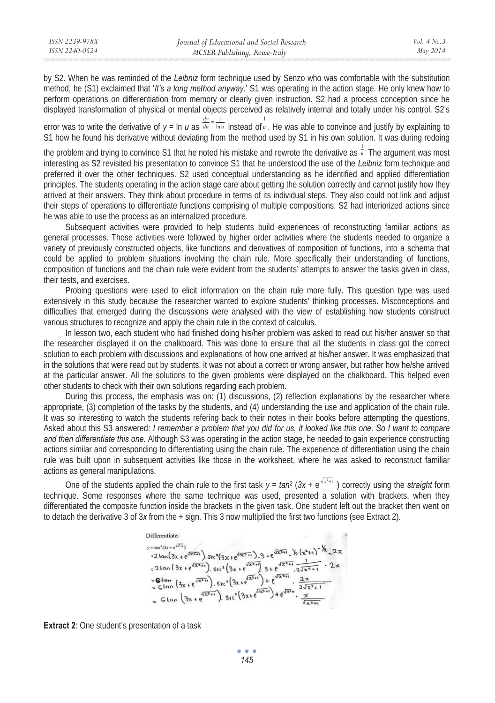| ISSN 2239-978X | Journal of Educational and Social Research | Vol. $4$ No. $3$ |
|----------------|--------------------------------------------|------------------|
| ISSN 2240-0524 | MCSER Publishing, Rome-Italy               | May 2014         |
|                |                                            |                  |

by S2. When he was reminded of the *Leibniz* form technique used by Senzo who was comfortable with the substitution method, he (S1) exclaimed that '*It's a long method anyway*.' S1 was operating in the action stage. He only knew how to perform operations on differentiation from memory or clearly given instruction. S2 had a process conception since he displayed transformation of physical or mental objects perceived as relatively internal and totally under his control. S2's

error was to write the derivative of  $y = \ln u$  as  $\frac{du}{du} - \frac{\ln u}{\ln u}$  instead of  $\frac{u}{u}$ . He was able to convince and justify by explaining to S1 how he found his derivative without deviating from the method used by S1 in his own solution. It was during redoing *dy*  $=\frac{1}{\ln u}$  instead of  $\frac{1}{u}$ 

the problem and trying to convince S1 that he noted his mistake and rewrote the derivative as  $\frac{1}{u}$ . The argument was most interesting as S2 revisited his presentation to convince S1 that he understood the use of the *Leibniz* form technique and preferred it over the other techniques. S2 used conceptual understanding as he identified and applied differentiation principles. The students operating in the action stage care about getting the solution correctly and cannot justify how they arrived at their answers. They think about procedure in terms of its individual steps. They also could not link and adjust their steps of operations to differentiate functions comprising of multiple compositions. S2 had interiorized actions since he was able to use the process as an internalized procedure.

Subsequent activities were provided to help students build experiences of reconstructing familiar actions as general processes. Those activities were followed by higher order activities where the students needed to organize a variety of previously constructed objects, like functions and derivatives of composition of functions, into a schema that could be applied to problem situations involving the chain rule. More specifically their understanding of functions, composition of functions and the chain rule were evident from the students' attempts to answer the tasks given in class, their tests, and exercises.

Probing questions were used to elicit information on the chain rule more fully. This question type was used extensively in this study because the researcher wanted to explore students' thinking processes. Misconceptions and difficulties that emerged during the discussions were analysed with the view of establishing how students construct various structures to recognize and apply the chain rule in the context of calculus.

In lesson two, each student who had finished doing his/her problem was asked to read out his/her answer so that the researcher displayed it on the chalkboard. This was done to ensure that all the students in class got the correct solution to each problem with discussions and explanations of how one arrived at his/her answer. It was emphasized that in the solutions that were read out by students, it was not about a correct or wrong answer, but rather how he/she arrived at the particular answer. All the solutions to the given problems were displayed on the chalkboard. This helped even other students to check with their own solutions regarding each problem.

During this process, the emphasis was on: (1) discussions, (2) reflection explanations by the researcher where appropriate, (3) completion of the tasks by the students, and (4) understanding the use and application of the chain rule. It was so interesting to watch the students refering back to their notes in their books before attempting the questions. Asked about this S3 answered*: I remember a problem that you did for us, it looked like this one. So I want to compare and then differentiate this one.* Although S3 was operating in the action stage, he needed to gain experience constructing actions similar and corresponding to differentiating using the chain rule. The experience of differentiation using the chain rule was built upon in subsequent activities like those in the worksheet, where he was asked to reconstruct familiar actions as general manipulations.

One of the students applied the chain rule to the first task  $y = tan^2(3x + e^{\sqrt{x^2+1}})$  correctly using the *straight* form technique. Some responses where the same technique was used, presented a solution with brackets, when they differentiated the composite function inside the brackets in the given task. One student left out the bracket then went on to detach the derivative 3 of 3*x* from the + sign. This 3 now multiplied the first two functions (see Extract 2).

Differentiate:  
\n
$$
y = \tan^2(3x + e^{\sqrt{2x+1}})
$$
.  $3x + e^{\sqrt{2x+1}}$ .  $3 + e^{\sqrt{2x+1}} \cdot \frac{1}{2} (x^2 + 1)^{-\frac{1}{2}} 2x$   
\n $= 2 \tan(3x + e^{\sqrt{2x+1}})$ .  $5e^2(3x + e^{\sqrt{2x+1}})$ .  $3 + e^{\sqrt{2x+1}} \cdot \frac{1}{2\sqrt{2x+1}} - 2x$   
\n $= 2 \tan(3x + e^{\sqrt{2x+1}})$ .  $5e^2(3x + e^{\sqrt{2x+1}})$ .  $4 + e^{\sqrt{2x+1}} \cdot \frac{2x}{2\sqrt{2x+1}}$   
\n $= 6 \tan(3x + e^{\sqrt{2x+1}})$ .  $5e^2(3x + e^{\sqrt{2x+1}}) + e^{\sqrt{2x+1}} \cdot \frac{2x}{\sqrt{2x+1}}$   
\n $= 6 \tan(3x + e^{\sqrt{2x+1}})$ .  $5e^2(3x + e^{\sqrt{2x+1}}) + e^{\sqrt{2x+1}} \cdot \frac{x}{\sqrt{2x+1}}$ 

**Extract 2:** One student's presentation of a task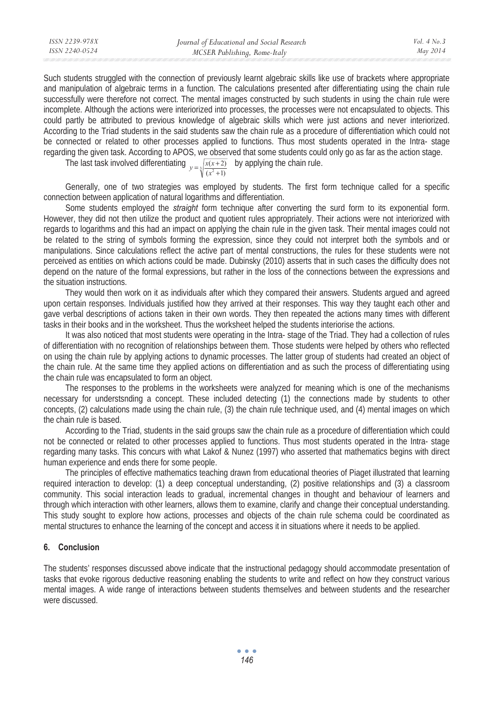| ISSN 2239-978X | Journal of Educational and Social Research | Vol. $4$ No. $3$ |
|----------------|--------------------------------------------|------------------|
| ISSN 2240-0524 | MCSER Publishing, Rome-Italy               | May 2014         |

Such students struggled with the connection of previously learnt algebraic skills like use of brackets where appropriate and manipulation of algebraic terms in a function. The calculations presented after differentiating using the chain rule successfully were therefore not correct. The mental images constructed by such students in using the chain rule were incomplete. Although the actions were interiorized into processes, the processes were not encapsulated to objects. This could partly be attributed to previous knowledge of algebraic skills which were just actions and never interiorized. According to the Triad students in the said students saw the chain rule as a procedure of differentiation which could not be connected or related to other processes applied to functions. Thus most students operated in the Intra- stage regarding the given task. According to APOS, we observed that some students could only go as far as the action stage.

The last task involved differentiating  $y = \sqrt[3]{\frac{x(x+2)}{(x^2+1)}}$  $y = \sqrt[3]{\frac{x(x+2)}{(x^2+1)}}$  by applying the chain rule.

Generally, one of two strategies was employed by students. The first form technique called for a specific connection between application of natural logarithms and differentiation.

Some students employed the *straight* form technique after converting the surd form to its exponential form. However, they did not then utilize the product and quotient rules appropriately. Their actions were not interiorized with regards to logarithms and this had an impact on applying the chain rule in the given task. Their mental images could not be related to the string of symbols forming the expression, since they could not interpret both the symbols and or manipulations. Since calculations reflect the active part of mental constructions, the rules for these students were not perceived as entities on which actions could be made. Dubinsky (2010) asserts that in such cases the difficulty does not depend on the nature of the formal expressions, but rather in the loss of the connections between the expressions and the situation instructions.

They would then work on it as individuals after which they compared their answers. Students argued and agreed upon certain responses. Individuals justified how they arrived at their responses. This way they taught each other and gave verbal descriptions of actions taken in their own words. They then repeated the actions many times with different tasks in their books and in the worksheet. Thus the worksheet helped the students interiorise the actions.

It was also noticed that most students were operating in the Intra- stage of the Triad. They had a collection of rules of differentiation with no recognition of relationships between them. Those students were helped by others who reflected on using the chain rule by applying actions to dynamic processes. The latter group of students had created an object of the chain rule. At the same time they applied actions on differentiation and as such the process of differentiating using the chain rule was encapsulated to form an object.

The responses to the problems in the worksheets were analyzed for meaning which is one of the mechanisms necessary for understsnding a concept. These included detecting (1) the connections made by students to other concepts, (2) calculations made using the chain rule, (3) the chain rule technique used, and (4) mental images on which the chain rule is based.

According to the Triad, students in the said groups saw the chain rule as a procedure of differentiation which could not be connected or related to other processes applied to functions. Thus most students operated in the Intra- stage regarding many tasks. This concurs with what Lakof & Nunez (1997) who asserted that mathematics begins with direct human experience and ends there for some people.

The principles of effective mathematics teaching drawn from educational theories of Piaget illustrated that learning required interaction to develop: (1) a deep conceptual understanding, (2) positive relationships and (3) a classroom community. This social interaction leads to gradual, incremental changes in thought and behaviour of learners and through which interaction with other learners, allows them to examine, clarify and change their conceptual understanding. This study sought to explore how actions, processes and objects of the chain rule schema could be coordinated as mental structures to enhance the learning of the concept and access it in situations where it needs to be applied.

### **6. Conclusion**

The students' responses discussed above indicate that the instructional pedagogy should accommodate presentation of tasks that evoke rigorous deductive reasoning enabling the students to write and reflect on how they construct various mental images. A wide range of interactions between students themselves and between students and the researcher were discussed.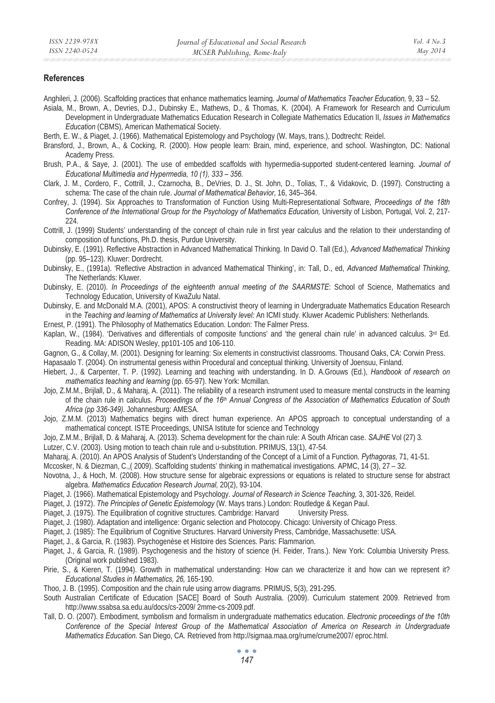#### **References**

- Anghileri, J. (2006). Scaffolding practices that enhance mathematics learning*. Journal of Mathematics Teacher Education,* 9, 33 52.
- Asiala, M., Brown, A., Devries, D.J., Dubinsky E., Mathews, D., & Thomas, K. (2004). A Framework for Research and Curriculum Development in Undergraduate Mathematics Education Research in Collegiate Mathematics Education II, *Issues in Mathematics Education* (CBMS), American Mathematical Society.
- Berth, E. W., & Piaget, J. (1966). Mathematical Epistemology and Psychology (W. Mays, trans.), Dodtrecht: Reidel.
- Bransford, J., Brown, A., & Cocking, R. (2000). How people learn: Brain, mind, experience, and school*.* Washington, DC: National Academy Press.
- Brush, P.A., & Saye, J. (2001). The use of embedded scaffolds with hypermedia-supported student-centered learning. *Journal of Educational Multimedia and Hypermedia, 10 (1), 333 – 356.*
- Clark, J. M., Cordero, F., Cottrill, J., Czarnocha, B., DeVries, D. J., St. John, D., Tolias, T., & Vidakovic, D. (1997). Constructing a schema: The case of the chain rule. *Journal of Mathematical Behavior*, 16, 345–364.
- Confrey, J. (1994). Six Approaches to Transformation of Function Using Multi-Representational Software, *Proceedings of the 18th Conference of the International Group for the Psychology of Mathematics Education,* University of Lisbon, Portugal, Vol. 2, 217- 224.
- Cottrill, J. (1999) Students' understanding of the concept of chain rule in first year calculus and the relation to their understanding of composition of functions, Ph.D. thesis, Purdue University.
- Dubinsky, E. (1991). Reflective Abstraction in Advanced Mathematical Thinking. In David O. Tall (Ed.), *Advanced Mathematical Thinking*  (pp. 95–123). Kluwer: Dordrecht.
- Dubinsky, E., (1991a). 'Reflective Abstraction in advanced Mathematical Thinking', in: Tall, D., ed, *Advanced Mathematical Thinking*, The Netherlands: Kluwer.
- Dubinsky, E. (2010). *In Proceedings of the eighteenth annual meeting of the SAARMSTE*: School of Science, Mathematics and Technology Education, University of KwaZulu Natal.
- Dubinsky, E. and McDonald M.A. (2001), APOS: A constructivist theory of learning in Undergraduate Mathematics Education Research in the *Teaching and learning of Mathematics at University level:* An ICMI study. Kluwer Academic Publishers: Netherlands.
- Ernest, P. (1991). The Philosophy of Mathematics Education. London: The Falmer Press.
- Kaplan, W., (1984). 'Derivatives and differentials of composite functions' and 'the general chain rule' in advanced calculus. 3rd Ed. Reading. MA: ADISON Wesley, pp101-105 and 106-110.
- Gagnon, G., & Collay, M. (2001). Designing for learning: Six elements in constructivist classrooms. Thousand Oaks, CA: Corwin Press. Hapasaalo T. (2004). On instrumental genesis within Procedural and conceptual thinking. University of Joensuu, Finland.
- Hiebert, J., & Carpenter, T. P. (1992). Learning and teaching with understanding. In D. A.Grouws (Ed.), *Handbook of research on mathematics teaching and learning* (pp. 65-97). New York: Mcmillan.
- Jojo, Z.M.M., Brijlall, D., & Maharaj, A. (2011). The reliability of a research instrument used to measure mental constructs in the learning of the chain rule in calculus. *Proceedings of the 16th Annual Congress of the Association of Mathematics Education of South Africa (pp 336-349).* Johannesburg: AMESA.
- Jojo, Z.M.M. (2013) Mathematics begins with direct human experience. An APOS approach to conceptual understanding of a mathematical concept. ISTE Proceedings, UNISA Istitute for science and Technology
- Jojo, Z.M.M., Brijlall, D. & Maharaj, A. (2013). Schema development for the chain rule: A South African case. *SAJHE* Vol (27) 3.
- Lutzer, C.V. (2003). Using motion to teach chain rule and u-substitution. PRIMUS, 13(1), 47-54.
- Maharaj, A. (2010). An APOS Analysis of Student's Understanding of the Concept of a Limit of a Function. *Pythagoras,* 71, 41-51.
- Mccosker, N. & Diezman, C.,( 2009). Scaffolding students' thinking in mathematical investigations. APMC, 14 (3), 27 32.
- Novotna, J., & Hoch, M. (2008). How structure sense for algebraic expressions or equations is related to structure sense for abstract algebra. *Mathematics Education Research Journal,* 20(2), 93-104.
- Piaget, J. (1966). Mathematical Epistemology and Psychology. *Journal of Research in Science Teaching,* 3, 301-326, Reidel.
- Piaget, J. (1972). *The Principles of Genetic Epistemology* (W. Mays trans.) London: Routledge & Kegan Paul.
- Piaget, J. (1975). The Equilibration of cognitive structures. Cambridge: Harvard University Press.
- Piaget, J. (1980). Adaptation and intelligence: Organic selection and Photocopy. Chicago: University of Chicago Press.
- Piaget, J. (1985): The Equilibrium of Cognitive Structures. Harvard University Press, Cambridge, Massachusette: USA.
- Piaget, J., & Garcia, R. (1983). Psychogenèse et Histoire des Sciences. Paris: Flammarion.
- Piaget, J., & Garcia, R. (1989). Psychogenesis and the history of science (H. Feider, Trans.). New York: Columbia University Press. (Original work published 1983).
- Pirie, S., & Kieren, T. (1994). Growth in mathematical understanding: How can we characterize it and how can we represent it? *Educational Studies in Mathematics, 26,* 165-190.
- Thoo, J. B. (1995). Composition and the chain rule using arrow diagrams. PRIMUS, 5(3), 291-295.
- South Australian Certificate of Education [SACE] Board of South Australia. (2009). Curriculum statement 2009. Retrieved from http://www.ssabsa.sa.edu.au/docs/cs-2009/ 2mme-cs-2009.pdf.
- Tall, D. O. (2007). Embodiment, symbolism and formalism in undergraduate mathematics education. *Electronic proceedings of the 10th Conference of the Special Interest Group of the Mathematical Association of America on Research in Undergraduate Mathematics Education.* San Diego, CA. Retrieved from http://sigmaa.maa.org/rume/crume2007/ eproc.html.